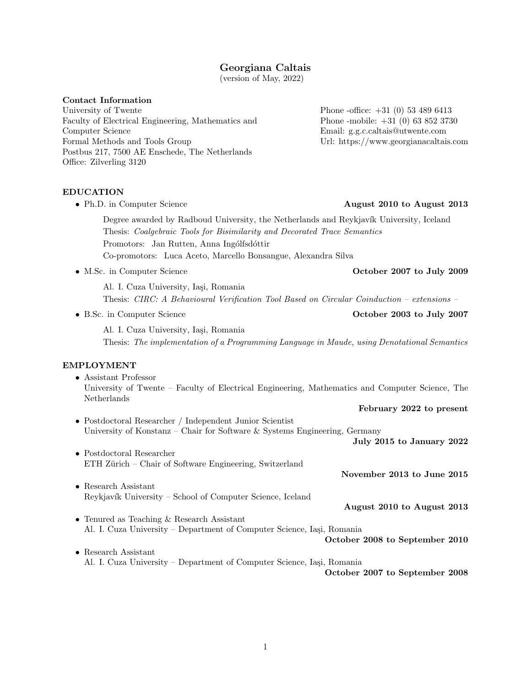# Georgiana Caltais

(version of May, 2022)

## Contact Information

University of Twente Faculty of Electrical Engineering, Mathematics and Computer Science Formal Methods and Tools Group Postbus 217, 7500 AE Enschede, The Netherlands Office: Zilverling 3120

EDUCATION

• Ph.D. in Computer Science **August 2010 to August 2013** Degree awarded by Radboud University, the Netherlands and Reykjavík University, Iceland Thesis: Coalgebraic Tools for Bisimilarity and Decorated Trace Semantics Promotors: Jan Rutten, Anna Ingólfsdóttir Co-promotors: Luca Aceto, Marcello Bonsangue, Alexandra Silva

• M.Sc. in Computer Science **October 2007 to July 2009** 

Al. I. Cuza University, Iași, Romania Thesis: CIRC: A Behavioural Verification Tool Based on Circular Coinduction – extensions –

• B.Sc. in Computer Science October 2003 to July 2007

Al. I. Cuza University, Iasi, Romania Thesis: The implementation of a Programming Language in Maude, using Denotational Semantics

## EMPLOYMENT

• Assistant Professor University of Twente – Faculty of Electrical Engineering, Mathematics and Computer Science, The Netherlands February 2022 to present

• Postdoctoral Researcher / Independent Junior Scientist University of Konstanz – Chair for Software & Systems Engineering, Germany

July 2015 to January 2022

- Postdoctoral Researcher ETH Zürich – Chair of Software Engineering, Switzerland
- Research Assistant Reykjavík University – School of Computer Science, Iceland
- August 2010 to August 2013

November 2013 to June 2015

- Tenured as Teaching & Research Assistant Al. I. Cuza University – Department of Computer Science, Iași, Romania
- Research Assistant Al. I. Cuza University – Department of Computer Science, Iași, Romania

October 2007 to September 2008

October 2008 to September 2010

Phone -office: +31 (0) 53 489 6413 Phone -mobile: +31 (0) 63 852 3730 Email: g.g.c.caltais@utwente.com Url:<https://www.georgianacaltais.com>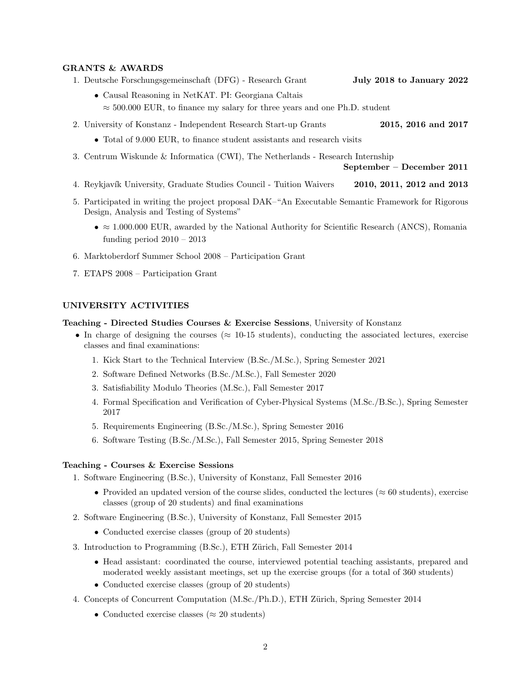#### GRANTS & AWARDS

- 1. Deutsche Forschungsgemeinschaft (DFG) Research Grant July 2018 to January 2022
	- [Causal Reasoning in NetKAT.](https://gepris.dfg.de/gepris/projekt/398056821?language=en) PI: Georgiana Caltais  $\approx$  500.000 EUR, to finance my salary for three years and one Ph.D. student
- 2. University of Konstanz Independent Research Start-up Grants 2015, 2016 and 2017
	- Total of 9.000 EUR, to finance student assistants and research visits
- 3. Centrum Wiskunde & Informatica (CWI), The Netherlands Research Internship

September – December 2011

- 4. Reykjavík University, Graduate Studies Council Tuition Waivers 2010, 2011, 2012 and 2013
- 5. Participated in writing the project proposal DAK[–"An Executable Semantic Framework for Rigorous](https://fmse.info.uaic.ro/grant/dak/) [Design, Analysis and Testing of Systems"](https://fmse.info.uaic.ro/grant/dak/)
	- $\approx 1.000.000$  EUR, awarded by the National Authority for Scientific Research (ANCS), Romania funding period  $2010 - 2013$
- 6. Marktoberdorf Summer School 2008 Participation Grant
- 7. ETAPS 2008 Participation Grant

## UNIVERSITY ACTIVITIES

#### Teaching - Directed Studies Courses & Exercise Sessions, University of Konstanz

- In charge of designing the courses ( $\approx$  10-15 students), conducting the associated lectures, exercise classes and final examinations:
	- 1. Kick Start to the Technical Interview (B.Sc./M.Sc.), Spring Semester 2021
	- 2. Software Defined Networks (B.Sc./M.Sc.), Fall Semester 2020
	- 3. Satisfiability Modulo Theories (M.Sc.), Fall Semester 2017
	- 4. Formal Specification and Verification of Cyber-Physical Systems (M.Sc./B.Sc.), Spring Semester 2017
	- 5. Requirements Engineering (B.Sc./M.Sc.), Spring Semester 2016
	- 6. Software Testing (B.Sc./M.Sc.), Fall Semester 2015, Spring Semester 2018

### Teaching - Courses & Exercise Sessions

- 1. Software Engineering (B.Sc.), University of Konstanz, Fall Semester 2016
	- Provided an updated version of the course slides, conducted the lectures ( $\approx 60$  students), exercise classes (group of 20 students) and final examinations
- 2. Software Engineering (B.Sc.), University of Konstanz, Fall Semester 2015
	- Conducted exercise classes (group of 20 students)
- 3. Introduction to Programming (B.Sc.), ETH Zürich, Fall Semester 2014
	- Head assistant: coordinated the course, interviewed potential teaching assistants, prepared and moderated weekly assistant meetings, set up the exercise groups (for a total of 360 students)
	- Conducted exercise classes (group of 20 students)
- 4. Concepts of Concurrent Computation (M.Sc./Ph.D.), ETH Zürich, Spring Semester 2014
	- Conducted exercise classes ( $\approx 20$  students)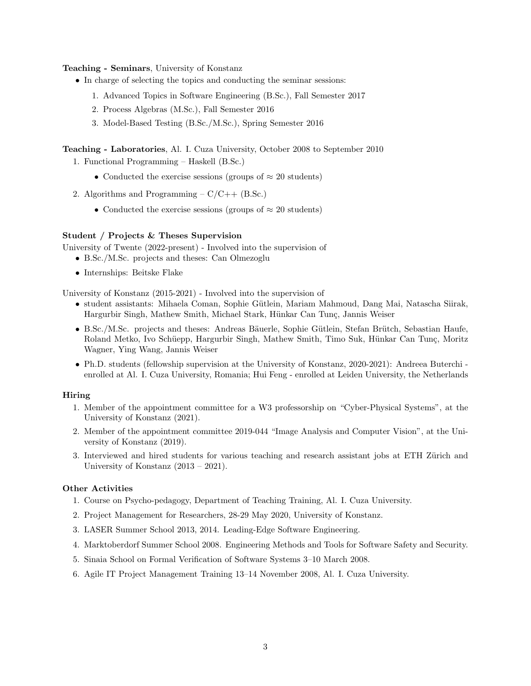### Teaching - Seminars, University of Konstanz

- In charge of selecting the topics and conducting the seminar sessions:
	- 1. Advanced Topics in Software Engineering (B.Sc.), Fall Semester 2017
	- 2. Process Algebras (M.Sc.), Fall Semester 2016
	- 3. Model-Based Testing (B.Sc./M.Sc.), Spring Semester 2016

Teaching - Laboratories, Al. I. Cuza University, October 2008 to September 2010

- 1. Functional Programming Haskell (B.Sc.)
	- Conducted the exercise sessions (groups of  $\approx 20$  students)
- 2. Algorithms and Programming  $C/C++$  (B.Sc.)
	- Conducted the exercise sessions (groups of  $\approx 20$  students)

## Student / Projects & Theses Supervision

University of Twente (2022-present) - Involved into the supervision of

- B.Sc./M.Sc. projects and theses: Can Olmezoglu
- Internships: Beitske Flake

University of Konstanz (2015-2021) - Involved into the supervision of

- student assistants: Mihaela Coman, Sophie G¨utlein, Mariam Mahmoud, Dang Mai, Natascha Siirak, Hargurbir Singh, Mathew Smith, Michael Stark, Hünkar Can Tunç, Jannis Weiser
- B.Sc./M.Sc. projects and theses: Andreas Bäuerle, Sophie Gütlein, Stefan Brütch, Sebastian Haufe, Roland Metko, Ivo Schüepp, Hargurbir Singh, Mathew Smith, Timo Suk, Hünkar Can Tunç, Moritz Wagner, Ying Wang, Jannis Weiser
- Ph.D. students (fellowship supervision at the University of Konstanz, 2020-2021): Andreea Buterchi enrolled at Al. I. Cuza University, Romania; Hui Feng - enrolled at Leiden University, the Netherlands

#### Hiring

- 1. Member of the appointment committee for a W3 professorship on "Cyber-Physical Systems", at the University of Konstanz (2021).
- 2. Member of the appointment committee 2019-044 "Image Analysis and Computer Vision", at the University of Konstanz (2019).
- 3. Interviewed and hired students for various teaching and research assistant jobs at ETH Zürich and University of Konstanz (2013 – 2021).

#### Other Activities

- 1. Course on Psycho-pedagogy, Department of Teaching Training, Al. I. Cuza University.
- 2. Project Management for Researchers, 28-29 May 2020, University of Konstanz.
- 3. [LASER](http://laser.inf.ethz.ch/) Summer School 2013, 2014. Leading-Edge Software Engineering.
- 4. Marktoberdorf Summer School 2008. Engineering Methods and Tools for Software Safety and Security.
- 5. Sinaia School on Formal Verification of Software Systems 3–10 March 2008.
- 6. Agile IT Project Management Training 13–14 November 2008, Al. I. Cuza University.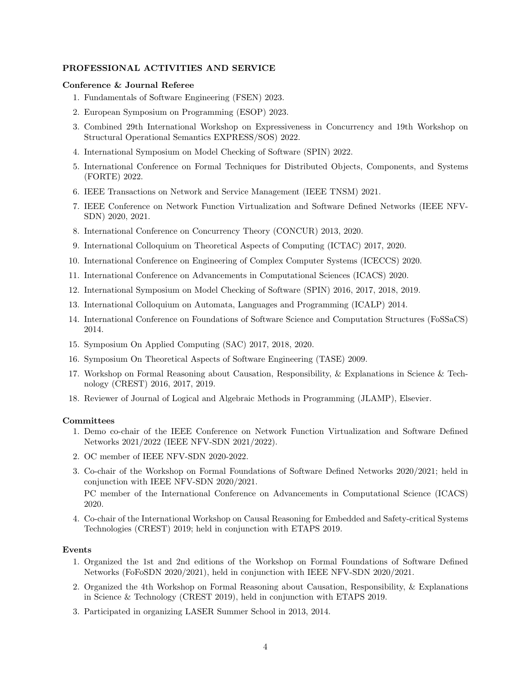### PROFESSIONAL ACTIVITIES AND SERVICE

### Conference & Journal Referee

- 1. Fundamentals of Software Engineering (FSEN) 2023.
- 2. European Symposium on Programming (ESOP) 2023.
- 3. Combined 29th International Workshop on Expressiveness in Concurrency and 19th Workshop on Structural Operational Semantics EXPRESS/SOS) 2022.
- 4. International Symposium on Model Checking of Software (SPIN) 2022.
- 5. International Conference on Formal Techniques for Distributed Objects, Components, and Systems (FORTE) 2022.
- 6. IEEE Transactions on Network and Service Management (IEEE TNSM) 2021.
- 7. IEEE Conference on Network Function Virtualization and Software Defined Networks (IEEE NFV-SDN) 2020, 2021.
- 8. International Conference on Concurrency Theory (CONCUR) 2013, 2020.
- 9. International Colloquium on Theoretical Aspects of Computing (ICTAC) 2017, 2020.
- 10. International Conference on Engineering of Complex Computer Systems (ICECCS) 2020.
- 11. International Conference on Advancements in Computational Sciences (ICACS) 2020.
- 12. International Symposium on Model Checking of Software (SPIN) 2016, 2017, 2018, 2019.
- 13. International Colloquium on Automata, Languages and Programming (ICALP) 2014.
- 14. International Conference on Foundations of Software Science and Computation Structures (FoSSaCS) 2014.
- 15. Symposium On Applied Computing (SAC) 2017, 2018, 2020.
- 16. Symposium On Theoretical Aspects of Software Engineering (TASE) 2009.
- 17. Workshop on Formal Reasoning about Causation, Responsibility, & Explanations in Science & Technology (CREST) 2016, 2017, 2019.
- 18. Reviewer of Journal of Logical and Algebraic Methods in Programming (JLAMP), Elsevier.

#### **Committees**

- 1. Demo co-chair of the IEEE Conference on Network Function Virtualization and Software Defined Networks 2021/2022 (IEEE NFV-SDN 2021/2022).
- 2. OC member of IEEE NFV-SDN 2020-2022.
- 3. Co-chair of the Workshop on Formal Foundations of Software Defined Networks 2020/2021; held in conjunction with IEEE NFV-SDN 2020/2021.

PC member of the International Conference on Advancements in Computational Science (ICACS) 2020.

4. Co-chair of the International Workshop on Causal Reasoning for Embedded and Safety-critical Systems Technologies (CREST) 2019; held in conjunction with ETAPS 2019.

#### Events

- 1. Organized the 1st and 2nd editions of the [Workshop on Formal Foundations of Software Defined](https://fofosdn.github.io) [Networks \(FoFoSDN 2020/2021\),](https://fofosdn.github.io) held in conjunction with [IEEE NFV-SDN 2020](https://nfvsdn2020.ieee-nfvsdn.org)[/2021.](https://nfvsdn2021.ieee-nfvsdn.org)
- 2. Organized the [4th Workshop on Formal Reasoning about Causation, Responsibility, & Explanations](https://conf.researchr.org/track/etaps-2019/crest-2019-papers) [in Science & Technology \(CREST 2019\),](https://conf.researchr.org/track/etaps-2019/crest-2019-papers) held in conjunction with [ETAPS 2019.](https://conf.researchr.org/home/etaps-2019)
- 3. Participated in organizing [LASER](http://laser.inf.ethz.ch/2014/) Summer School in 2013, 2014.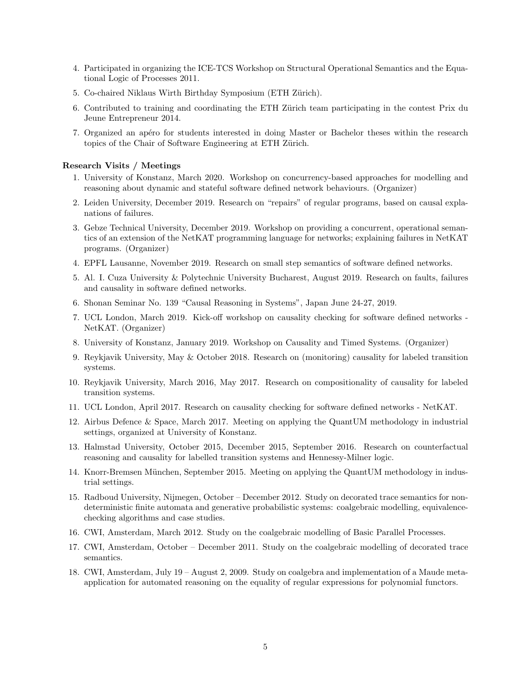- 4. Participated in organizing the [ICE-TCS Workshop on Structural Operational Semantics and the Equa](http://icetcs.ru.is/2011.04.28..ICE-TCS_Workshop_on_Logic_and_Concurrency/)[tional Logic of Processes 2011.](http://icetcs.ru.is/2011.04.28..ICE-TCS_Workshop_on_Logic_and_Concurrency/)
- 5. Co-chaired [Niklaus Wirth Birthday Symposium](http://wirth-symposium.ethz.ch/programme.html) (ETH Zürich).
- 6. Contributed to training and coordinating the ETH Zürich team participating in the contest [Prix du](http://www.cce-suisse.com/391-le-prix-du-jeune-entrepreneur-pje-.htm) [Jeune Entrepreneur 2014.](http://www.cce-suisse.com/391-le-prix-du-jeune-entrepreneur-pje-.htm)
- 7. Organized an apéro for students interested in doing Master or Bachelor theses within the [research](http://se.inf.ethz.ch/student_projects/) [topics](http://se.inf.ethz.ch/student_projects/) of the [Chair of Software Engineering](http://se.inf.ethz.ch/) at ETH Zürich.

## Research Visits / Meetings

- 1. University of Konstanz, March 2020. Workshop on concurrency-based approaches for modelling and reasoning about dynamic and stateful software defined network behaviours. (Organizer)
- 2. Leiden University, December 2019. Research on "repairs" of regular programs, based on causal explanations of failures.
- 3. Gebze Technical University, December 2019. Workshop on providing a concurrent, operational semantics of an extension of the NetKAT programming language for networks; explaining failures in NetKAT programs. (Organizer)
- 4. EPFL Lausanne, November 2019. Research on small step semantics of software defined networks.
- 5. Al. I. Cuza University & Polytechnic University Bucharest, August 2019. Research on faults, failures and causality in software defined networks.
- 6. Shonan Seminar No. 139 "Causal Reasoning in Systems", Japan June 24-27, 2019.
- 7. UCL London, March 2019. Kick-off workshop on causality checking for software defined networks NetKAT. (Organizer)
- 8. University of Konstanz, January 2019. Workshop on Causality and Timed Systems. (Organizer)
- 9. Reykjavik University, May & October 2018. Research on (monitoring) causality for labeled transition systems.
- 10. Reykjavik University, March 2016, May 2017. Research on compositionality of causality for labeled transition systems.
- 11. UCL London, April 2017. Research on causality checking for software defined networks NetKAT.
- 12. Airbus Defence & Space, March 2017. Meeting on applying the QuantUM methodology in industrial settings, organized at University of Konstanz.
- 13. Halmstad University, October 2015, December 2015, September 2016. Research on counterfactual reasoning and causality for labelled transition systems and Hennessy-Milner logic.
- 14. Knorr-Bremsen München, September 2015. Meeting on applying the QuantUM methodology in industrial settings.
- 15. Radboud University, Nijmegen, October December 2012. Study on decorated trace semantics for nondeterministic finite automata and generative probabilistic systems: coalgebraic modelling, equivalencechecking algorithms and case studies.
- 16. CWI, Amsterdam, March 2012. Study on the coalgebraic modelling of Basic Parallel Processes.
- 17. CWI, Amsterdam, October December 2011. Study on the coalgebraic modelling of decorated trace semantics.
- 18. CWI, Amsterdam, July 19 August 2, 2009. Study on coalgebra and implementation of a Maude metaapplication for automated reasoning on the equality of regular expressions for polynomial functors.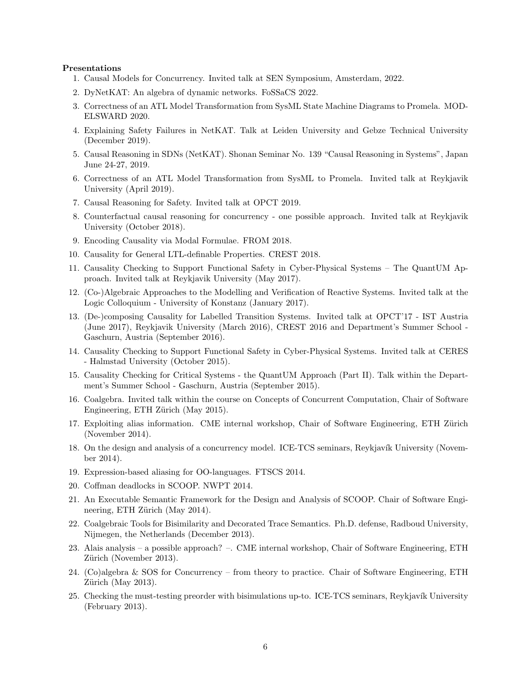#### Presentations

- 1. Causal Models for Concurrency. Invited talk at SEN Symposium, Amsterdam, 2022.
- 2. DyNetKAT: An algebra of dynamic networks. FoSSaCS 2022.
- 3. Correctness of an ATL Model Transformation from SysML State Machine Diagrams to Promela. MOD-ELSWARD 2020.
- 4. Explaining Safety Failures in NetKAT. Talk at Leiden University and Gebze Technical University (December 2019).
- 5. Causal Reasoning in SDNs (NetKAT). Shonan Seminar No. 139 "Causal Reasoning in Systems", Japan June 24-27, 2019.
- 6. Correctness of an ATL Model Transformation from SysML to Promela. Invited talk at Reykjavik University (April 2019).
- 7. Causal Reasoning for Safety. Invited talk at OPCT 2019.
- 8. Counterfactual causal reasoning for concurrency one possible approach. Invited talk at Reykjavik University (October 2018).
- 9. Encoding Causality via Modal Formulae. FROM 2018.
- 10. Causality for General LTL-definable Properties. CREST 2018.
- 11. Causality Checking to Support Functional Safety in Cyber-Physical Systems The QuantUM Approach. Invited talk at Reykjavik University (May 2017).
- 12. (Co-)Algebraic Approaches to the Modelling and Verification of Reactive Systems. Invited talk at the Logic Colloquium - University of Konstanz (January 2017).
- 13. (De-)composing Causality for Labelled Transition Systems. Invited talk at OPCT'17 IST Austria (June 2017), Reykjavik University (March 2016), CREST 2016 and Department's Summer School - Gaschurn, Austria (September 2016).
- 14. Causality Checking to Support Functional Safety in Cyber-Physical Systems. Invited talk at [CERES](http://ceres.hh.se/mediawiki/Main_Page) [- Halmstad University](http://ceres.hh.se/mediawiki/Main_Page) (October 2015).
- 15. Causality Checking for Critical Systems the QuantUM Approach (Part II). Talk within the Department's Summer School - Gaschurn, Austria (September 2015).
- 16. Coalgebra. Invited talk within the course on Concepts of Concurrent Computation, [Chair of Software](http://se.inf.ethz.ch/) Engineering, ETH Zürich (May 2015).
- 17. Exploiting alias information. CME internal workshop, Chair of Software Engineering, ETH Zürich (November 2014).
- 18. On the design and analysis of a concurrency model. ICE-TCS seminars, Reykjavík University (November 2014).
- 19. Expression-based aliasing for OO-languages. [FTSCS 2014.](http://www.ftscs.org/)
- 20. Coffman deadlocks in SCOOP. [NWPT 2014.](http://ceres.hh.se/mediawiki/index.php/NWPT_2014)
- 21. An Executable Semantic Framework for the Design and Analysis of SCOOP. [Chair of Software Engi](http://se.inf.ethz.ch/)neering, ETH Zürich (May 2014).
- 22. Coalgebraic Tools for Bisimilarity and Decorated Trace Semantics. Ph.D. defense, [Radboud University,](http://www.ru.nl/) Nijmegen, the Netherlands (December 2013).
- 23. Alais analysis a possible approach? –. CME internal workshop, [Chair of Software Engineering, ETH](http://se.inf.ethz.ch/) Zürich (November 2013).
- 24. [\(Co\)algebra & SOS for Concurrency from theory to practice.](http://www.inf.ethz.ch/news/events/details/index?id=1523) [Chair of Software Engineering, ETH](http://se.inf.ethz.ch/)  $Zürich$  (May 2013).
- 25. Checking the must-testing preorder with bisimulations up-to. ICE-TCS seminars, Reykjavík University (February 2013).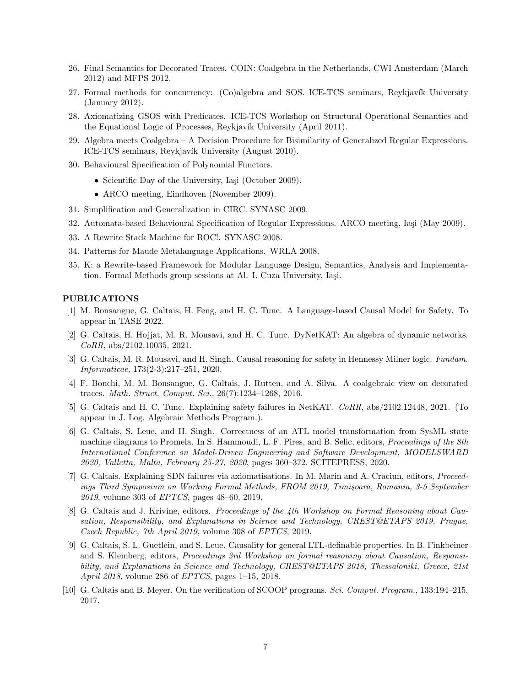- 26. Final Semantics for Decorated Traces. [COIN: Coalgebra in the Netherlands,](http://homepages.cwi.nl/~winter/coin.html#Ca) CWI Amsterdam (March 2012) and [MFPS 2012.](http://dauns.math.tulane.edu/~mfps/MFPS28/MFPS28/MFPS_XXVIII.html)
- 27. Formal methods for concurrency: (Co)algebra and SOS. ICE-TCS seminars, Revkjavík University (January 2012).
- 28. Axiomatizing GSOS with Predicates. [ICE-TCS Workshop on Structural Operational Semantics and](http://icetcs.ru.is/2011.04.28..ICE-TCS_Workshop_on_Logic_and_Concurrency/) the Equational Logic of Processes, Reykjavík University (April 2011).
- 29. Algebra meets Coalgebra A Decision Procedure for Bisimilarity of Generalized Regular Expressions. ICE-TCS seminars, Reykjavík University (August 2010).
- 30. Behavioural Specification of Polynomial Functors.
	- Scientific Day of the University, Iași (October 2009).
	- ARCO meeting, Eindhoven (November 2009).
- 31. Simplification and Generalization in CIRC. SYNASC 2009.
- 32. Automata-based Behavioural Specification of Regular Expressions. ARCO meeting, Iași (May 2009).
- 33. A Rewrite Stack Machine for ROC!. SYNASC 2008.
- 34. Patterns for Maude Metalanguage Applications. WRLA 2008.
- 35. K: a Rewrite-based Framework for Modular Language Design, Semantics, Analysis and Implementation. Formal Methods group sessions at Al. I. Cuza University, Iași.

#### PUBLICATIONS

- [1] M. Bonsangue, G. Caltais, H. Feng, and H. C. Tunc. A Language-based Causal Model for Safety. To appear in TASE 2022.
- [2] G. Caltais, H. Hojjat, M. R. Mousavi, and H. C. Tunc. DyNetKAT: An algebra of dynamic networks. CoRR, abs/2102.10035, 2021.
- [3] G. Caltais, M. R. Mousavi, and H. Singh. Causal reasoning for safety in Hennessy Milner logic. Fundam. Informaticae, 173(2-3):217–251, 2020.
- [4] F. Bonchi, M. M. Bonsangue, G. Caltais, J. Rutten, and A. Silva. A coalgebraic view on decorated traces. Math. Struct. Comput. Sci., 26(7):1234–1268, 2016.
- [5] G. Caltais and H. C. Tunc. Explaining safety failures in NetKAT. CoRR, abs/2102.12448, 2021. (To appear in J. Log. Algebraic Methods Program.).
- [6] G. Caltais, S. Leue, and H. Singh. Correctness of an ATL model transformation from SysML state machine diagrams to Promela. In S. Hammoudi, L. F. Pires, and B. Selic, editors, Proceedings of the 8th International Conference on Model-Driven Engineering and Software Development, MODELSWARD 2020, Valletta, Malta, February 25-27, 2020, pages 360–372. SCITEPRESS, 2020.
- [7] G. Caltais. Explaining SDN failures via axiomatisations. In M. Marin and A. Craciun, editors, Proceedings Third Symposium on Working Formal Methods, FROM 2019, Timişoara, Romania, 3-5 September 2019, volume 303 of EPTCS, pages 48–60, 2019.
- [8] G. Caltais and J. Krivine, editors. Proceedings of the 4th Workshop on Formal Reasoning about Causation, Responsibility, and Explanations in Science and Technology, CREST@ETAPS 2019, Prague, Czech Republic, 7th April 2019, volume 308 of EPTCS, 2019.
- [9] G. Caltais, S. L. Guetlein, and S. Leue. Causality for general LTL-definable properties. In B. Finkbeiner and S. Kleinberg, editors, Proceedings 3rd Workshop on formal reasoning about Causation, Responsibility, and Explanations in Science and Technology, CREST@ETAPS 2018, Thessaloniki, Greece, 21st April 2018, volume 286 of EPTCS, pages 1–15, 2018.
- [10] G. Caltais and B. Meyer. On the verification of SCOOP programs. Sci. Comput. Program., 133:194–215, 2017.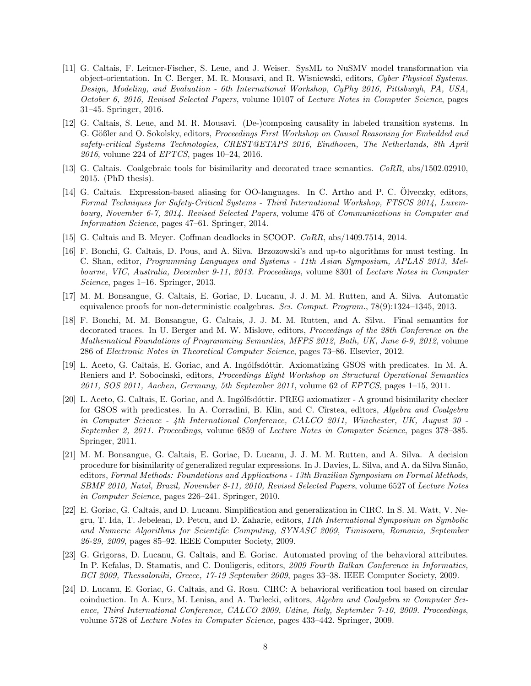- [11] G. Caltais, F. Leitner-Fischer, S. Leue, and J. Weiser. SysML to NuSMV model transformation via object-orientation. In C. Berger, M. R. Mousavi, and R. Wisniewski, editors, Cyber Physical Systems. Design, Modeling, and Evaluation - 6th International Workshop, CyPhy 2016, Pittsburgh, PA, USA, October 6, 2016, Revised Selected Papers, volume 10107 of Lecture Notes in Computer Science, pages 31–45. Springer, 2016.
- [12] G. Caltais, S. Leue, and M. R. Mousavi. (De-)composing causality in labeled transition systems. In G. Gößler and O. Sokolsky, editors, Proceedings First Workshop on Causal Reasoning for Embedded and safety-critical Systems Technologies, CREST@ETAPS 2016, Eindhoven, The Netherlands, 8th April 2016, volume 224 of EPTCS, pages 10–24, 2016.
- [13] G. Caltais. Coalgebraic tools for bisimilarity and decorated trace semantics. CoRR, abs/1502.02910, 2015. (PhD thesis).
- [14] G. Caltais. Expression-based aliasing for OO-languages. In C. Artho and P. C. Olveczky, editors, Formal Techniques for Safety-Critical Systems - Third International Workshop, FTSCS 2014, Luxembourg, November 6-7, 2014. Revised Selected Papers, volume 476 of Communications in Computer and Information Science, pages 47–61. Springer, 2014.
- [15] G. Caltais and B. Meyer. Coffman deadlocks in SCOOP. CoRR, abs/1409.7514, 2014.
- [16] F. Bonchi, G. Caltais, D. Pous, and A. Silva. Brzozowski's and up-to algorithms for must testing. In C. Shan, editor, Programming Languages and Systems - 11th Asian Symposium, APLAS 2013, Melbourne, VIC, Australia, December 9-11, 2013. Proceedings, volume 8301 of Lecture Notes in Computer Science, pages 1–16. Springer, 2013.
- [17] M. M. Bonsangue, G. Caltais, E. Goriac, D. Lucanu, J. J. M. M. Rutten, and A. Silva. Automatic equivalence proofs for non-deterministic coalgebras. Sci. Comput. Program., 78(9):1324–1345, 2013.
- [18] F. Bonchi, M. M. Bonsangue, G. Caltais, J. J. M. M. Rutten, and A. Silva. Final semantics for decorated traces. In U. Berger and M. W. Mislove, editors, Proceedings of the 28th Conference on the Mathematical Foundations of Programming Semantics, MFPS 2012, Bath, UK, June 6-9, 2012, volume 286 of Electronic Notes in Theoretical Computer Science, pages 73–86. Elsevier, 2012.
- [19] L. Aceto, G. Caltais, E. Goriac, and A. Ingólfsdóttir. Axiomatizing GSOS with predicates. In M. A. Reniers and P. Sobocinski, editors, Proceedings Eight Workshop on Structural Operational Semantics 2011, SOS 2011, Aachen, Germany, 5th September 2011, volume 62 of EPTCS, pages 1–15, 2011.
- [20] L. Aceto, G. Caltais, E. Goriac, and A. Ingólfsdóttir. PREG axiomatizer A ground bisimilarity checker for GSOS with predicates. In A. Corradini, B. Klin, and C. Cîrstea, editors, Algebra and Coalgebra in Computer Science - 4th International Conference, CALCO 2011, Winchester, UK, August 30 - September 2, 2011. Proceedings, volume 6859 of Lecture Notes in Computer Science, pages 378–385. Springer, 2011.
- [21] M. M. Bonsangue, G. Caltais, E. Goriac, D. Lucanu, J. J. M. M. Rutten, and A. Silva. A decision procedure for bisimilarity of generalized regular expressions. In J. Davies, L. Silva, and A. da Silva Sim˜ao, editors, Formal Methods: Foundations and Applications - 13th Brazilian Symposium on Formal Methods, SBMF 2010, Natal, Brazil, November 8-11, 2010, Revised Selected Papers, volume 6527 of Lecture Notes in Computer Science, pages 226–241. Springer, 2010.
- [22] E. Goriac, G. Caltais, and D. Lucanu. Simplification and generalization in CIRC. In S. M. Watt, V. Negru, T. Ida, T. Jebelean, D. Petcu, and D. Zaharie, editors, 11th International Symposium on Symbolic and Numeric Algorithms for Scientific Computing, SYNASC 2009, Timisoara, Romania, September 26-29, 2009, pages 85–92. IEEE Computer Society, 2009.
- [23] G. Grigoras, D. Lucanu, G. Caltais, and E. Goriac. Automated proving of the behavioral attributes. In P. Kefalas, D. Stamatis, and C. Douligeris, editors, 2009 Fourth Balkan Conference in Informatics, BCI 2009, Thessaloniki, Greece, 17-19 September 2009, pages 33–38. IEEE Computer Society, 2009.
- [24] D. Lucanu, E. Goriac, G. Caltais, and G. Rosu. CIRC: A behavioral verification tool based on circular coinduction. In A. Kurz, M. Lenisa, and A. Tarlecki, editors, Algebra and Coalgebra in Computer Science, Third International Conference, CALCO 2009, Udine, Italy, September 7-10, 2009. Proceedings, volume 5728 of Lecture Notes in Computer Science, pages 433–442. Springer, 2009.